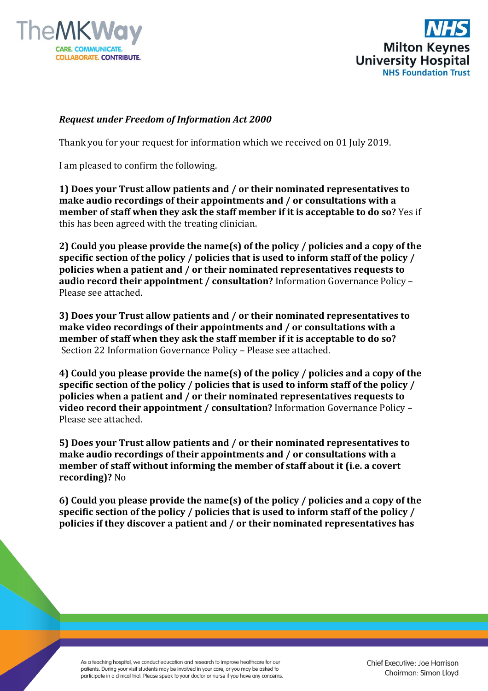



## *Request under Freedom of Information Act 2000*

Thank you for your request for information which we received on 01 July 2019.

I am pleased to confirm the following.

**1) Does your Trust allow patients and / or their nominated representatives to make audio recordings of their appointments and / or consultations with a member of staff when they ask the staff member if it is acceptable to do so?** Yes if this has been agreed with the treating clinician.

**2) Could you please provide the name(s) of the policy / policies and a copy of the specific section of the policy / policies that is used to inform staff of the policy / policies when a patient and / or their nominated representatives requests to audio record their appointment / consultation?** Information Governance Policy – Please see attached.

**3) Does your Trust allow patients and / or their nominated representatives to make video recordings of their appointments and / or consultations with a member of staff when they ask the staff member if it is acceptable to do so?** Section 22 Information Governance Policy – Please see attached.

**4) Could you please provide the name(s) of the policy / policies and a copy of the specific section of the policy / policies that is used to inform staff of the policy / policies when a patient and / or their nominated representatives requests to video record their appointment / consultation?** Information Governance Policy – Please see attached.

**5) Does your Trust allow patients and / or their nominated representatives to make audio recordings of their appointments and / or consultations with a member of staff without informing the member of staff about it (i.e. a covert recording)?** No

**6) Could you please provide the name(s) of the policy / policies and a copy of the specific section of the policy / policies that is used to inform staff of the policy / policies if they discover a patient and / or their nominated representatives has** 

As a teaching hospital, we conduct education and research to improve healthcare for our patients. During your visit students may be involved in your care, or you may be asked to participate in a clinical trial. Please speak to your doctor or nurse if you have any concerns. Chief Executive: Joe Harrison Chairman: Simon Lloyd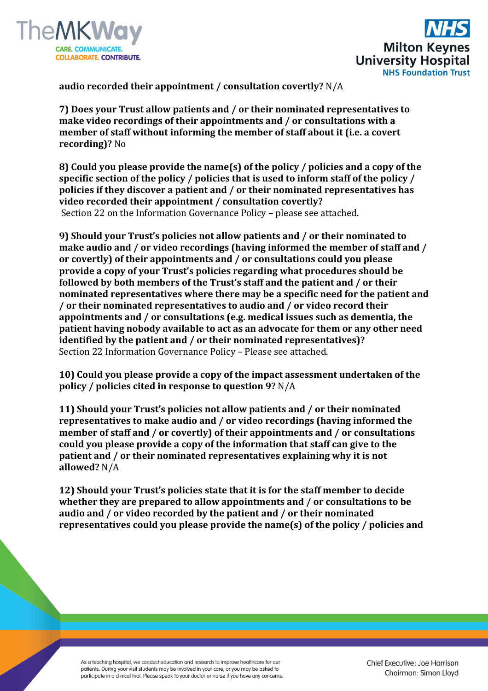



**audio recorded their appointment / consultation covertly?** N/A

**7) Does your Trust allow patients and / or their nominated representatives to make video recordings of their appointments and / or consultations with a member of staff without informing the member of staff about it (i.e. a covert recording)?** No

**8) Could you please provide the name(s) of the policy / policies and a copy of the specific section of the policy / policies that is used to inform staff of the policy / policies if they discover a patient and / or their nominated representatives has video recorded their appointment / consultation covertly?** Section 22 on the Information Governance Policy – please see attached.

**9) Should your Trust's policies not allow patients and / or their nominated to make audio and / or video recordings (having informed the member of staff and / or covertly) of their appointments and / or consultations could you please provide a copy of your Trust's policies regarding what procedures should be followed by both members of the Trust's staff and the patient and / or their nominated representatives where there may be a specific need for the patient and / or their nominated representatives to audio and / or video record their appointments and / or consultations (e.g. medical issues such as dementia, the patient having nobody available to act as an advocate for them or any other need identified by the patient and / or their nominated representatives)?**  Section 22 Information Governance Policy – Please see attached.

**10) Could you please provide a copy of the impact assessment undertaken of the policy / policies cited in response to question 9?** N/A

**11) Should your Trust's policies not allow patients and / or their nominated representatives to make audio and / or video recordings (having informed the member of staff and / or covertly) of their appointments and / or consultations could you please provide a copy of the information that staff can give to the patient and / or their nominated representatives explaining why it is not allowed?** N/A

**12) Should your Trust's policies state that it is for the staff member to decide whether they are prepared to allow appointments and / or consultations to be audio and / or video recorded by the patient and / or their nominated representatives could you please provide the name(s) of the policy / policies and** 

As a teaching hospital, we conduct education and research to improve healthcare for our patients. During your visit students may be involved in your care, or you may be asked to participate in a clinical trial. Please speak to your doctor or nurse if you have any concerns.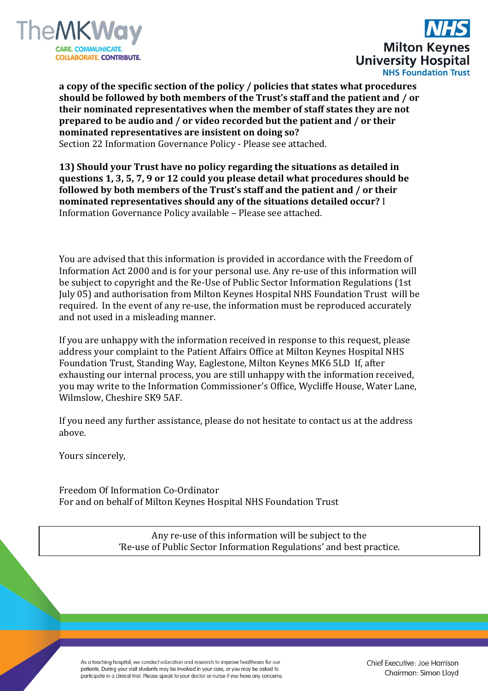



**a copy of the specific section of the policy / policies that states what procedures should be followed by both members of the Trust's staff and the patient and / or their nominated representatives when the member of staff states they are not prepared to be audio and / or video recorded but the patient and / or their nominated representatives are insistent on doing so?** Section 22 Information Governance Policy - Please see attached.

**13) Should your Trust have no policy regarding the situations as detailed in questions 1, 3, 5, 7, 9 or 12 could you please detail what procedures should be followed by both members of the Trust's staff and the patient and / or their nominated representatives should any of the situations detailed occur?** I Information Governance Policy available – Please see attached.

You are advised that this information is provided in accordance with the Freedom of Information Act 2000 and is for your personal use. Any re-use of this information will be subject to copyright and the Re-Use of Public Sector Information Regulations (1st July 05) and authorisation from Milton Keynes Hospital NHS Foundation Trust will be required. In the event of any re-use, the information must be reproduced accurately and not used in a misleading manner.

If you are unhappy with the information received in response to this request, please address your complaint to the Patient Affairs Office at Milton Keynes Hospital NHS Foundation Trust, Standing Way, Eaglestone, Milton Keynes MK6 5LD If, after exhausting our internal process, you are still unhappy with the information received, you may write to the Information Commissioner's Office, Wycliffe House, Water Lane, Wilmslow, Cheshire SK9 5AF.

If you need any further assistance, please do not hesitate to contact us at the address above.

Yours sincerely,

Freedom Of Information Co-Ordinator For and on behalf of Milton Keynes Hospital NHS Foundation Trust

> Any re-use of this information will be subject to the 'Re-use of Public Sector Information Regulations' and best practice.

As a teaching hospital, we conduct education and research to improve healthcare for our patients. During your visit students may be involved in your care, or you may be asked to participate in a clinical trial. Please speak to your doctor or nurse if you have any concerns. Chief Executive: Joe Harrison Chairman: Simon Lloyd